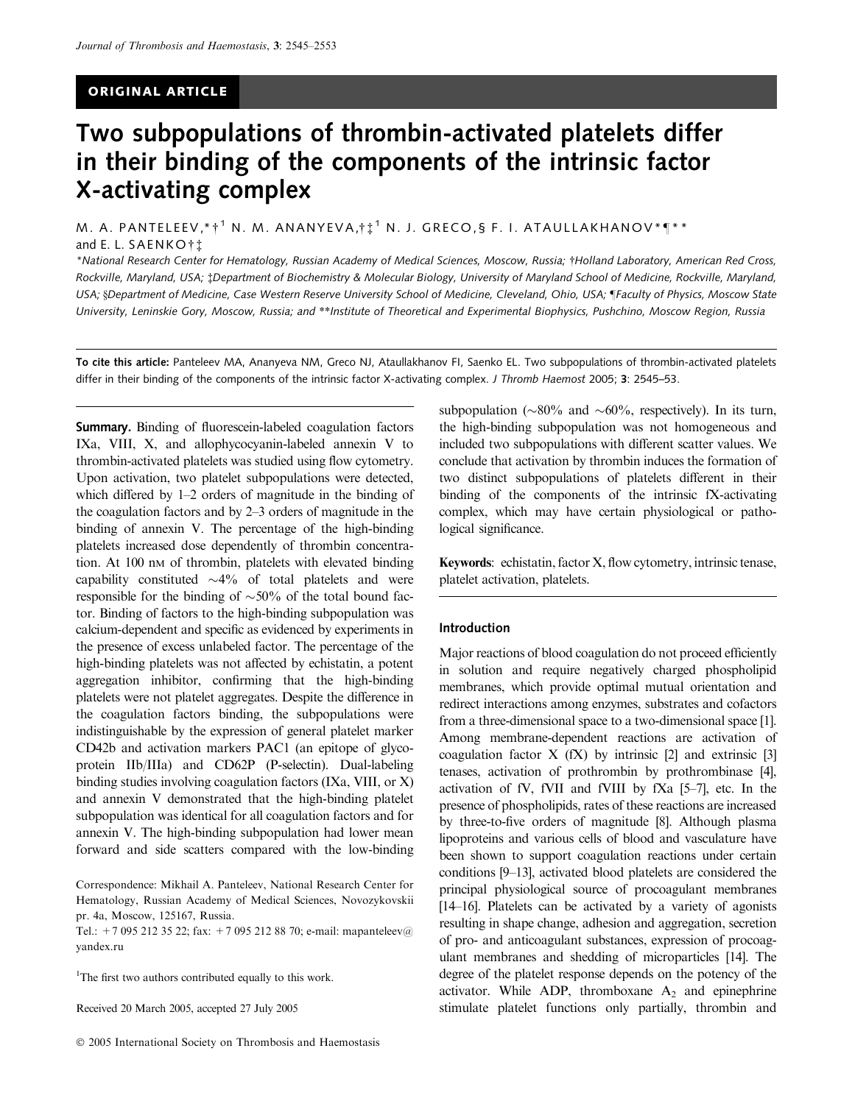# ORIGINAL ARTICLE

# Two subpopulations of thrombin-activated platelets differ in their binding of the components of the intrinsic factor X-activating complex

M. A. PANTELEEV,\* †  $^1$  N. M. ANANYEVA,†  $\ddagger$   $^1$  N. J. GRECO,§ F. I. ATAULLAKHANOV\* $\P^{**}$ and E. L. <code>SAENKO†‡</code>

\*National Research Center for Hematology, Russian Academy of Medical Sciences, Moscow, Russia; Holland Laboratory, American Red Cross, Rockville, Maryland, USA; ‡Department of Biochemistry & Molecular Biology, University of Maryland School of Medicine, Rockville, Maryland, USA; §Department of Medicine, Case Western Reserve University School of Medicine, Cleveland, Ohio, USA; ¶Faculty of Physics, Moscow State University, Leninskie Gory, Moscow, Russia; and \*\*Institute of Theoretical and Experimental Biophysics, Pushchino, Moscow Region, Russia

To cite this article: Panteleev MA, Ananyeva NM, Greco NJ, Ataullakhanov FI, Saenko EL. Two subpopulations of thrombin-activated platelets differ in their binding of the components of the intrinsic factor X-activating complex. J Thromb Haemost 2005; 3: 2545–53.

Summary. Binding of fluorescein-labeled coagulation factors IXa, VIII, X, and allophycocyanin-labeled annexin V to thrombin-activated platelets was studied using flow cytometry. Upon activation, two platelet subpopulations were detected, which differed by 1–2 orders of magnitude in the binding of the coagulation factors and by 2–3 orders of magnitude in the binding of annexin V. The percentage of the high-binding platelets increased dose dependently of thrombin concentration. At 100 nm of thrombin, platelets with elevated binding capability constituted  $\sim$ 4% of total platelets and were responsible for the binding of  $\sim 50\%$  of the total bound factor. Binding of factors to the high-binding subpopulation was calcium-dependent and specific as evidenced by experiments in the presence of excess unlabeled factor. The percentage of the high-binding platelets was not affected by echistatin, a potent aggregation inhibitor, confirming that the high-binding platelets were not platelet aggregates. Despite the difference in the coagulation factors binding, the subpopulations were indistinguishable by the expression of general platelet marker CD42b and activation markers PAC1 (an epitope of glycoprotein IIb/IIIa) and CD62P (P-selectin). Dual-labeling binding studies involving coagulation factors (IXa, VIII, or X) and annexin V demonstrated that the high-binding platelet subpopulation was identical for all coagulation factors and for annexin V. The high-binding subpopulation had lower mean forward and side scatters compared with the low-binding

Tel.: +7 095 212 35 22; fax: +7 095 212 88 70; e-mail: mapanteleev@ yandex.ru

<sup>1</sup>The first two authors contributed equally to this work.

Received 20 March 2005, accepted 27 July 2005

subpopulation ( $\sim 80\%$  and  $\sim 60\%$ , respectively). In its turn, the high-binding subpopulation was not homogeneous and included two subpopulations with different scatter values. We conclude that activation by thrombin induces the formation of two distinct subpopulations of platelets different in their binding of the components of the intrinsic fX-activating complex, which may have certain physiological or pathological significance.

Keywords: echistatin, factor X, flow cytometry, intrinsic tenase, platelet activation, platelets.

### Introduction

Major reactions of blood coagulation do not proceed efficiently in solution and require negatively charged phospholipid membranes, which provide optimal mutual orientation and redirect interactions among enzymes, substrates and cofactors from a three-dimensional space to a two-dimensional space [1]. Among membrane-dependent reactions are activation of coagulation factor  $X$  (fX) by intrinsic [2] and extrinsic [3] tenases, activation of prothrombin by prothrombinase [4], activation of fV, fVII and fVIII by fXa [5–7], etc. In the presence of phospholipids, rates of these reactions are increased by three-to-five orders of magnitude [8]. Although plasma lipoproteins and various cells of blood and vasculature have been shown to support coagulation reactions under certain conditions [9–13], activated blood platelets are considered the principal physiological source of procoagulant membranes [14–16]. Platelets can be activated by a variety of agonists resulting in shape change, adhesion and aggregation, secretion of pro- and anticoagulant substances, expression of procoagulant membranes and shedding of microparticles [14]. The degree of the platelet response depends on the potency of the activator. While ADP, thromboxane  $A_2$  and epinephrine stimulate platelet functions only partially, thrombin and

Correspondence: Mikhail A. Panteleev, National Research Center for Hematology, Russian Academy of Medical Sciences, Novozykovskii pr. 4a, Moscow, 125167, Russia.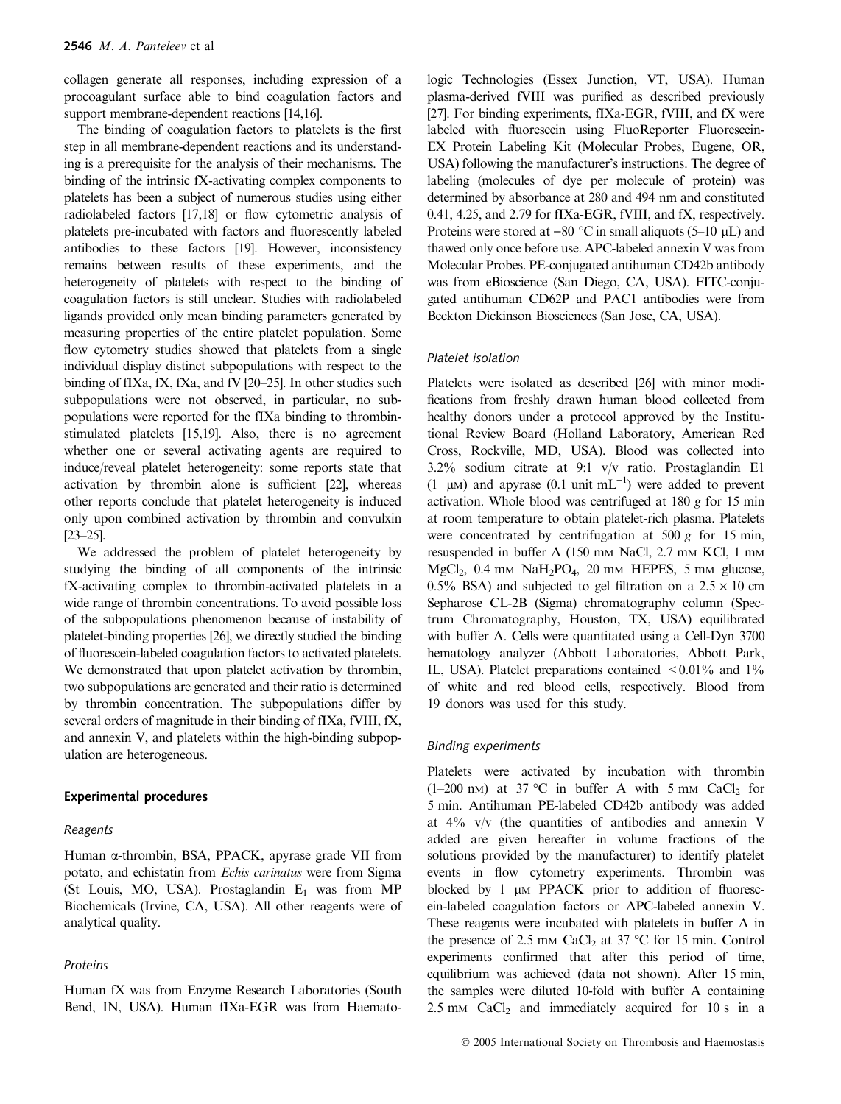collagen generate all responses, including expression of a procoagulant surface able to bind coagulation factors and support membrane-dependent reactions [14,16].

The binding of coagulation factors to platelets is the first step in all membrane-dependent reactions and its understanding is a prerequisite for the analysis of their mechanisms. The binding of the intrinsic fX-activating complex components to platelets has been a subject of numerous studies using either radiolabeled factors [17,18] or flow cytometric analysis of platelets pre-incubated with factors and fluorescently labeled antibodies to these factors [19]. However, inconsistency remains between results of these experiments, and the heterogeneity of platelets with respect to the binding of coagulation factors is still unclear. Studies with radiolabeled ligands provided only mean binding parameters generated by measuring properties of the entire platelet population. Some flow cytometry studies showed that platelets from a single individual display distinct subpopulations with respect to the binding of fIXa, fX, fXa, and fV [20–25]. In other studies such subpopulations were not observed, in particular, no subpopulations were reported for the fIXa binding to thrombinstimulated platelets [15,19]. Also, there is no agreement whether one or several activating agents are required to induce/reveal platelet heterogeneity: some reports state that activation by thrombin alone is sufficient [22], whereas other reports conclude that platelet heterogeneity is induced only upon combined activation by thrombin and convulxin [23–25].

We addressed the problem of platelet heterogeneity by studying the binding of all components of the intrinsic fX-activating complex to thrombin-activated platelets in a wide range of thrombin concentrations. To avoid possible loss of the subpopulations phenomenon because of instability of platelet-binding properties [26], we directly studied the binding of fluorescein-labeled coagulation factors to activated platelets. We demonstrated that upon platelet activation by thrombin, two subpopulations are generated and their ratio is determined by thrombin concentration. The subpopulations differ by several orders of magnitude in their binding of fIXa, fVIII, fX, and annexin V, and platelets within the high-binding subpopulation are heterogeneous.

#### Experimental procedures

#### **Reagents**

Human a-thrombin, BSA, PPACK, apyrase grade VII from potato, and echistatin from Echis carinatus were from Sigma (St Louis, MO, USA). Prostaglandin  $E_1$  was from MP Biochemicals (Irvine, CA, USA). All other reagents were of analytical quality.

#### Proteins

Human fX was from Enzyme Research Laboratories (South Bend, IN, USA). Human fIXa-EGR was from Haemato-

logic Technologies (Essex Junction, VT, USA). Human plasma-derived fVIII was purified as described previously [27]. For binding experiments, fIXa-EGR, fVIII, and fX were labeled with fluorescein using FluoReporter Fluorescein-EX Protein Labeling Kit (Molecular Probes, Eugene, OR, USA) following the manufacturer's instructions. The degree of labeling (molecules of dye per molecule of protein) was determined by absorbance at 280 and 494 nm and constituted 0.41, 4.25, and 2.79 for fIXa-EGR, fVIII, and fX, respectively. Proteins were stored at  $-80$  °C in small aliquots (5–10  $\mu$ L) and thawed only once before use. APC-labeled annexin V was from Molecular Probes. PE-conjugated antihuman CD42b antibody was from eBioscience (San Diego, CA, USA). FITC-conjugated antihuman CD62P and PAC1 antibodies were from Beckton Dickinson Biosciences (San Jose, CA, USA).

#### Platelet isolation

Platelets were isolated as described [26] with minor modifications from freshly drawn human blood collected from healthy donors under a protocol approved by the Institutional Review Board (Holland Laboratory, American Red Cross, Rockville, MD, USA). Blood was collected into 3.2% sodium citrate at 9:1 v/v ratio. Prostaglandin E1 (1  $\mu$ M) and apyrase (0.1 unit mL<sup>-1</sup>) were added to prevent activation. Whole blood was centrifuged at 180 g for 15 min at room temperature to obtain platelet-rich plasma. Platelets were concentrated by centrifugation at  $500 g$  for 15 min, resuspended in buffer A (150 mm NaCl, 2.7 mm KCl, 1 mm  $MgCl<sub>2</sub>$ , 0.4 mm  $NaH<sub>2</sub>PO<sub>4</sub>$ , 20 mm HEPES, 5 mm glucose, 0.5% BSA) and subjected to gel filtration on a  $2.5 \times 10$  cm Sepharose CL-2B (Sigma) chromatography column (Spectrum Chromatography, Houston, TX, USA) equilibrated with buffer A. Cells were quantitated using a Cell-Dyn 3700 hematology analyzer (Abbott Laboratories, Abbott Park, IL, USA). Platelet preparations contained  $\leq 0.01\%$  and  $1\%$ of white and red blood cells, respectively. Blood from 19 donors was used for this study.

#### Binding experiments

Platelets were activated by incubation with thrombin  $(1-200 \text{ nm})$  at 37 °C in buffer A with 5 mm CaCl<sub>2</sub> for 5 min. Antihuman PE-labeled CD42b antibody was added at  $4\%$  v/v (the quantities of antibodies and annexin V added are given hereafter in volume fractions of the solutions provided by the manufacturer) to identify platelet events in flow cytometry experiments. Thrombin was blocked by 1  $\mu$ M PPACK prior to addition of fluorescein-labeled coagulation factors or APC-labeled annexin V. These reagents were incubated with platelets in buffer A in the presence of 2.5 mm CaCl<sub>2</sub> at 37  $\degree$ C for 15 min. Control experiments confirmed that after this period of time, equilibrium was achieved (data not shown). After 15 min, the samples were diluted 10-fold with buffer A containing  $2.5 \text{ mm}$  CaCl<sub>2</sub> and immediately acquired for 10 s in a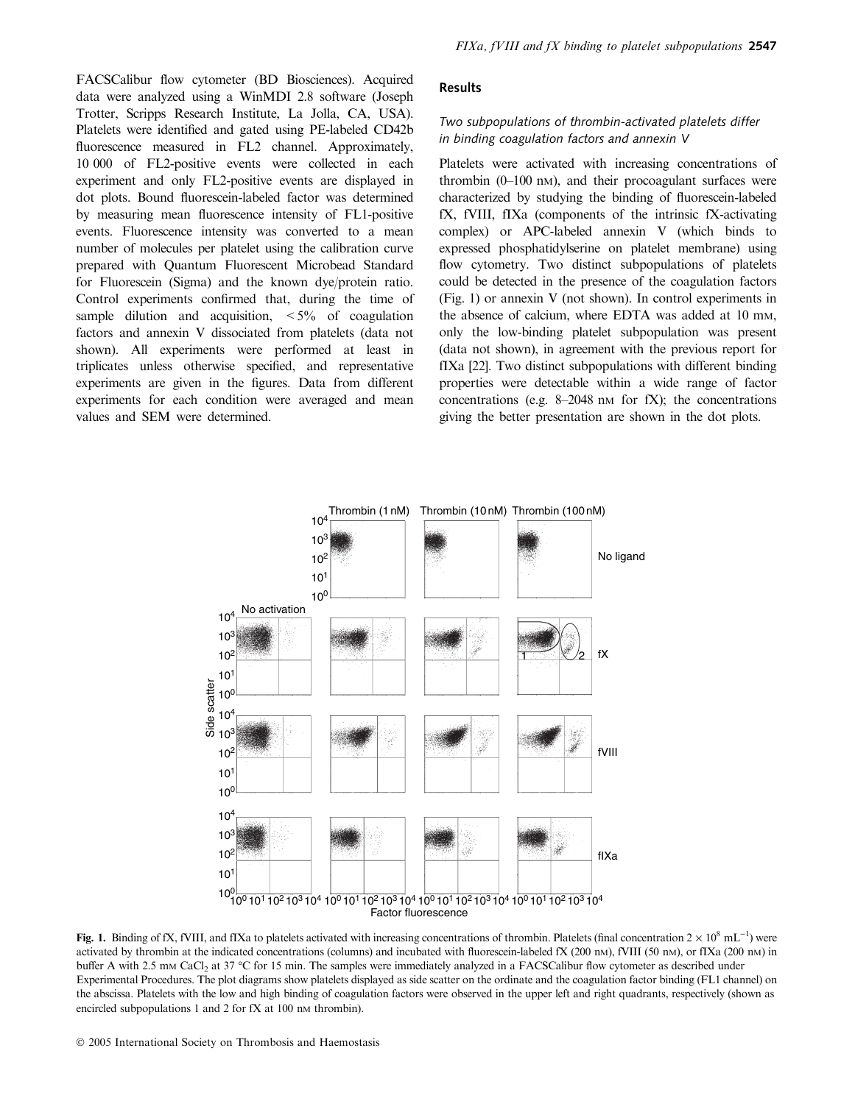FACSCalibur flow cytometer (BD Biosciences). Acquired data were analyzed using a WinMDI 2.8 software (Joseph Trotter, Scripps Research Institute, La Jolla, CA, USA). Platelets were identified and gated using PE-labeled CD42b fluorescence measured in FL2 channel. Approximately, 10 000 of FL2-positive events were collected in each experiment and only FL2-positive events are displayed in dot plots. Bound fluorescein-labeled factor was determined by measuring mean fluorescence intensity of FL1-positive events. Fluorescence intensity was converted to a mean number of molecules per platelet using the calibration curve prepared with Quantum Fluorescent Microbead Standard for Fluorescein (Sigma) and the known dye/protein ratio. Control experiments confirmed that, during the time of sample dilution and acquisition,  $\lt 5\%$  of coagulation factors and annexin V dissociated from platelets (data not shown). All experiments were performed at least in triplicates unless otherwise specified, and representative experiments are given in the figures. Data from different experiments for each condition were averaged and mean values and SEM were determined.

#### Results

# Two subpopulations of thrombin-activated platelets differ in binding coagulation factors and annexin V

Platelets were activated with increasing concentrations of thrombin  $(0-100 \text{ nm})$ , and their procoagulant surfaces were characterized by studying the binding of fluorescein-labeled fX, fVIII, fIXa (components of the intrinsic fX-activating complex) or APC-labeled annexin V (which binds to expressed phosphatidylserine on platelet membrane) using flow cytometry. Two distinct subpopulations of platelets could be detected in the presence of the coagulation factors (Fig. 1) or annexin V (not shown). In control experiments in the absence of calcium, where EDTA was added at 10 mM, only the low-binding platelet subpopulation was present (data not shown), in agreement with the previous report for fIXa [22]. Two distinct subpopulations with different binding properties were detectable within a wide range of factor concentrations (e.g.  $8-2048$  nm for fX); the concentrations giving the better presentation are shown in the dot plots.



Fig. 1. Binding of fX, fVIII, and fIXa to platelets activated with increasing concentrations of thrombin. Platelets (final concentration  $2 \times 10^8$  mL<sup>-1</sup>) were activated by thrombin at the indicated concentrations (columns) and incubated with fluorescein-labeled fX (200 nM), fVIII (50 nM), or fIXa (200 nM) in buffer A with 2.5 mm CaCl<sub>2</sub> at 37 °C for 15 min. The samples were immediately analyzed in a FACSCalibur flow cytometer as described under Experimental Procedures. The plot diagrams show platelets displayed as side scatter on the ordinate and the coagulation factor binding (FL1 channel) on the abscissa. Platelets with the low and high binding of coagulation factors were observed in the upper left and right quadrants, respectively (shown as encircled subpopulations 1 and 2 for  $fX$  at 100 nm thrombin).

2005 International Society on Thrombosis and Haemostasis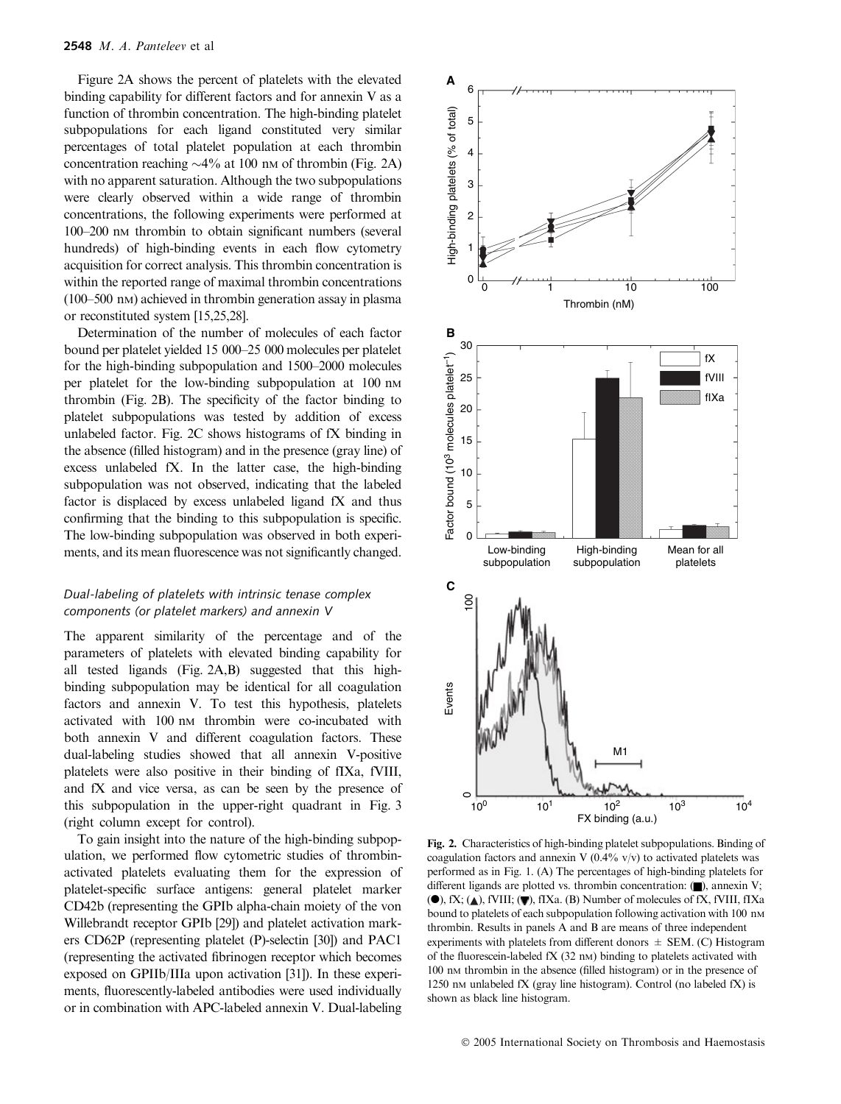Figure 2A shows the percent of platelets with the elevated binding capability for different factors and for annexin V as a function of thrombin concentration. The high-binding platelet subpopulations for each ligand constituted very similar percentages of total platelet population at each thrombin concentration reaching  $\sim$ 4% at 100 nm of thrombin (Fig. 2A) with no apparent saturation. Although the two subpopulations were clearly observed within a wide range of thrombin concentrations, the following experiments were performed at 100–200 nM thrombin to obtain significant numbers (several hundreds) of high-binding events in each flow cytometry acquisition for correct analysis. This thrombin concentration is within the reported range of maximal thrombin concentrations (100–500 nM) achieved in thrombin generation assay in plasma or reconstituted system [15,25,28].

Determination of the number of molecules of each factor bound per platelet yielded 15 000–25 000 molecules per platelet for the high-binding subpopulation and 1500–2000 molecules per platelet for the low-binding subpopulation at 100 nm thrombin (Fig. 2B). The specificity of the factor binding to platelet subpopulations was tested by addition of excess unlabeled factor. Fig. 2C shows histograms of fX binding in the absence (filled histogram) and in the presence (gray line) of excess unlabeled fX. In the latter case, the high-binding subpopulation was not observed, indicating that the labeled factor is displaced by excess unlabeled ligand fX and thus confirming that the binding to this subpopulation is specific. The low-binding subpopulation was observed in both experiments, and its mean fluorescence was not significantly changed.

# Dual-labeling of platelets with intrinsic tenase complex components (or platelet markers) and annexin V

The apparent similarity of the percentage and of the parameters of platelets with elevated binding capability for all tested ligands (Fig. 2A,B) suggested that this highbinding subpopulation may be identical for all coagulation factors and annexin V. To test this hypothesis, platelets activated with 100 nm thrombin were co-incubated with both annexin V and different coagulation factors. These dual-labeling studies showed that all annexin V-positive platelets were also positive in their binding of fIXa, fVIII, and fX and vice versa, as can be seen by the presence of this subpopulation in the upper-right quadrant in Fig. 3 (right column except for control).

To gain insight into the nature of the high-binding subpopulation, we performed flow cytometric studies of thrombinactivated platelets evaluating them for the expression of platelet-specific surface antigens: general platelet marker CD42b (representing the GPIb alpha-chain moiety of the von Willebrandt receptor GPIb [29]) and platelet activation markers CD62P (representing platelet (P)-selectin [30]) and PAC1 (representing the activated fibrinogen receptor which becomes exposed on GPIIb/IIIa upon activation [31]). In these experiments, fluorescently-labeled antibodies were used individually or in combination with APC-labeled annexin V. Dual-labeling



Fig. 2. Characteristics of high-binding platelet subpopulations. Binding of coagulation factors and annexin V ( $0.4\%$  v/v) to activated platelets was performed as in Fig. 1. (A) The percentages of high-binding platelets for different ligands are plotted vs. thrombin concentration:  $(\blacksquare)$ , annexin V; ( $\bullet$ ), fX; ( $\triangle$ ), fVIII; ( $\nabla$ ), fIXa. (B) Number of molecules of fX, fVIII, fIXa bound to platelets of each subpopulation following activation with 100 nm thrombin. Results in panels A and B are means of three independent experiments with platelets from different donors  $\pm$  SEM. (C) Histogram of the fluorescein-labeled fX (32 nM) binding to platelets activated with 100 nM thrombin in the absence (filled histogram) or in the presence of 1250 nm unlabeled  $fX$  (gray line histogram). Control (no labeled  $fX$ ) is shown as black line histogram.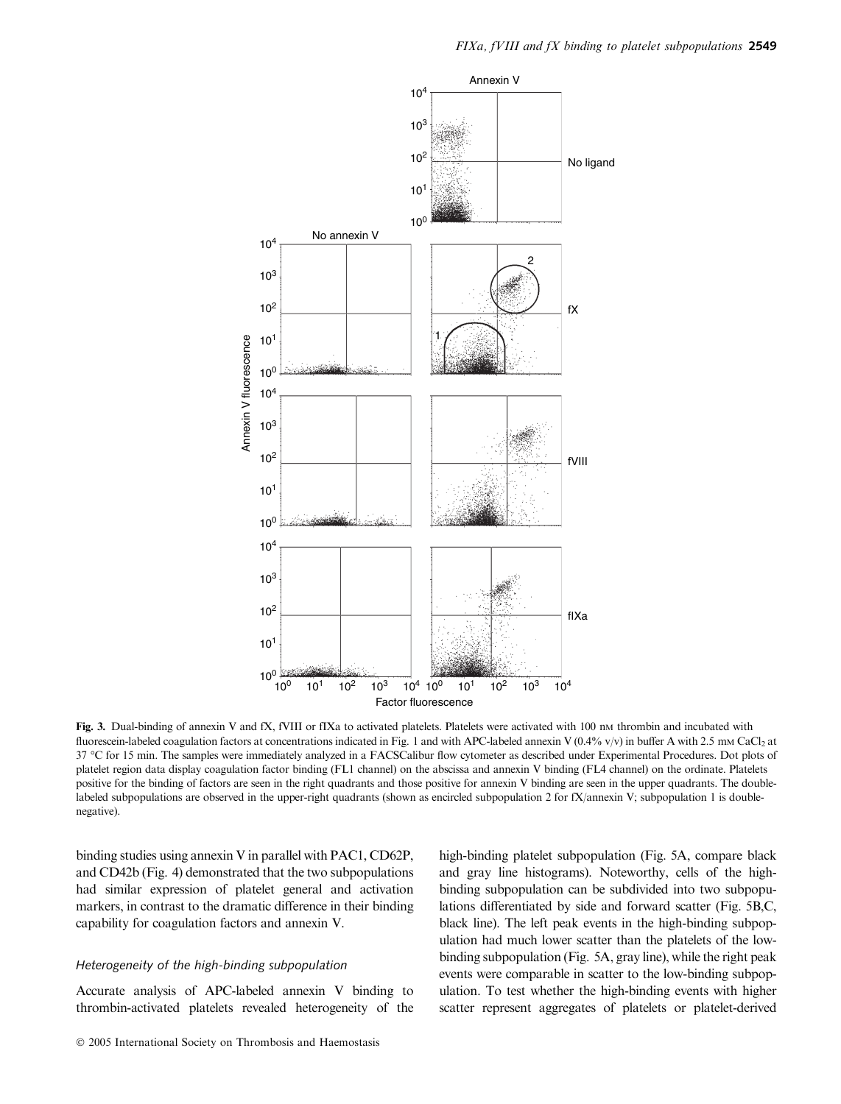

Fig. 3. Dual-binding of annexin V and fX, fVIII or fIXa to activated platelets. Platelets were activated with 100 nm thrombin and incubated with fluorescein-labeled coagulation factors at concentrations indicated in Fig. 1 and with APC-labeled annexin V (0.4% v/v) in buffer A with 2.5 mm CaCl<sub>2</sub> at 37 °C for 15 min. The samples were immediately analyzed in a FACSCalibur flow cytometer as described under Experimental Procedures. Dot plots of platelet region data display coagulation factor binding (FL1 channel) on the abscissa and annexin V binding (FL4 channel) on the ordinate. Platelets positive for the binding of factors are seen in the right quadrants and those positive for annexin V binding are seen in the upper quadrants. The doublelabeled subpopulations are observed in the upper-right quadrants (shown as encircled subpopulation 2 for fX/annexin V; subpopulation 1 is doublenegative).

binding studies using annexin V in parallel with PAC1, CD62P, and CD42b (Fig. 4) demonstrated that the two subpopulations had similar expression of platelet general and activation markers, in contrast to the dramatic difference in their binding capability for coagulation factors and annexin V.

# Heterogeneity of the high-binding subpopulation

Accurate analysis of APC-labeled annexin V binding to thrombin-activated platelets revealed heterogeneity of the high-binding platelet subpopulation (Fig. 5A, compare black and gray line histograms). Noteworthy, cells of the highbinding subpopulation can be subdivided into two subpopulations differentiated by side and forward scatter (Fig. 5B,C, black line). The left peak events in the high-binding subpopulation had much lower scatter than the platelets of the lowbinding subpopulation (Fig. 5A, gray line), while the right peak events were comparable in scatter to the low-binding subpopulation. To test whether the high-binding events with higher scatter represent aggregates of platelets or platelet-derived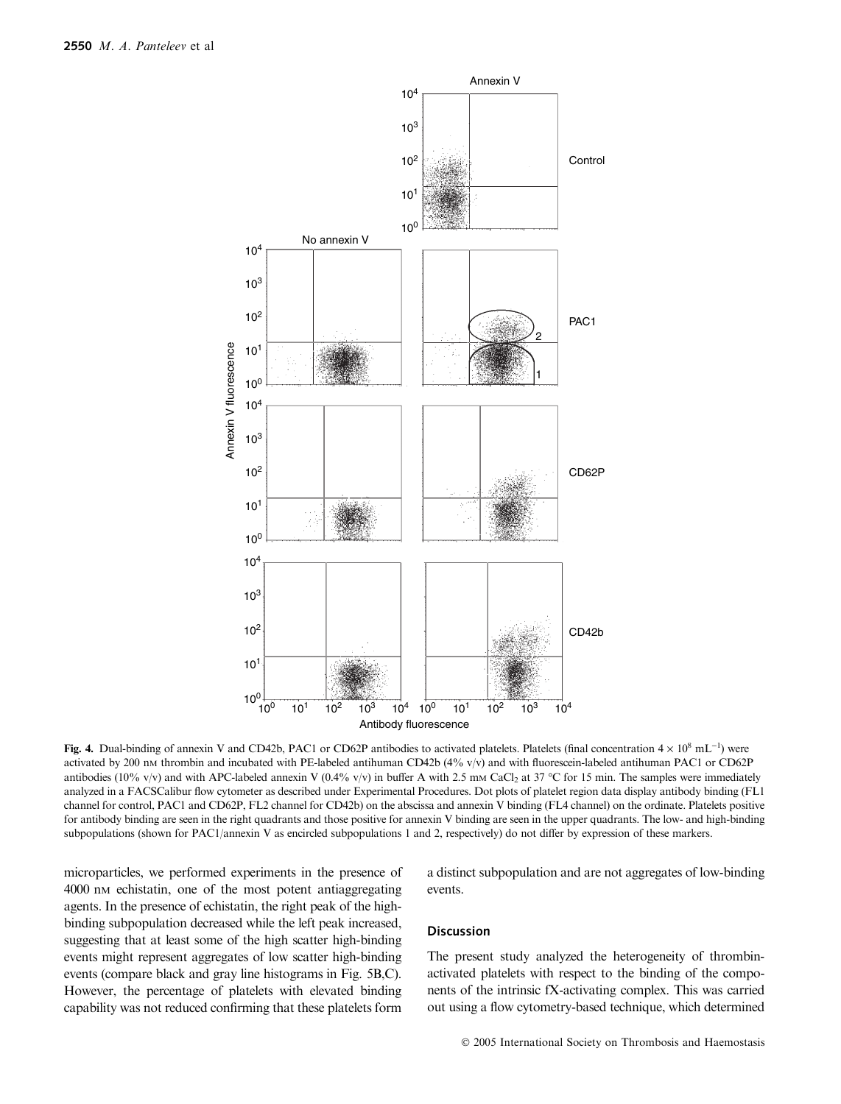

Fig. 4. Dual-binding of annexin V and CD42b, PAC1 or CD62P antibodies to activated platelets. Platelets (final concentration  $4 \times 10^8$  mL<sup>-1</sup>) were activated by 200 nm thrombin and incubated with PE-labeled antihuman CD42b (4% v/v) and with fluorescein-labeled antihuman PAC1 or CD62P antibodies (10% v/v) and with APC-labeled annexin V (0.4% v/v) in buffer A with 2.5 mm CaCl<sub>2</sub> at 37 °C for 15 min. The samples were immediately analyzed in a FACSCalibur flow cytometer as described under Experimental Procedures. Dot plots of platelet region data display antibody binding (FL1 channel for control, PAC1 and CD62P, FL2 channel for CD42b) on the abscissa and annexin V binding (FL4 channel) on the ordinate. Platelets positive for antibody binding are seen in the right quadrants and those positive for annexin V binding are seen in the upper quadrants. The low- and high-binding subpopulations (shown for PAC1/annexin V as encircled subpopulations 1 and 2, respectively) do not differ by expression of these markers.

microparticles, we performed experiments in the presence of 4000 nM echistatin, one of the most potent antiaggregating agents. In the presence of echistatin, the right peak of the highbinding subpopulation decreased while the left peak increased, suggesting that at least some of the high scatter high-binding events might represent aggregates of low scatter high-binding events (compare black and gray line histograms in Fig. 5B,C). However, the percentage of platelets with elevated binding capability was not reduced confirming that these platelets form

a distinct subpopulation and are not aggregates of low-binding events.

# Discussion

The present study analyzed the heterogeneity of thrombinactivated platelets with respect to the binding of the components of the intrinsic fX-activating complex. This was carried out using a flow cytometry-based technique, which determined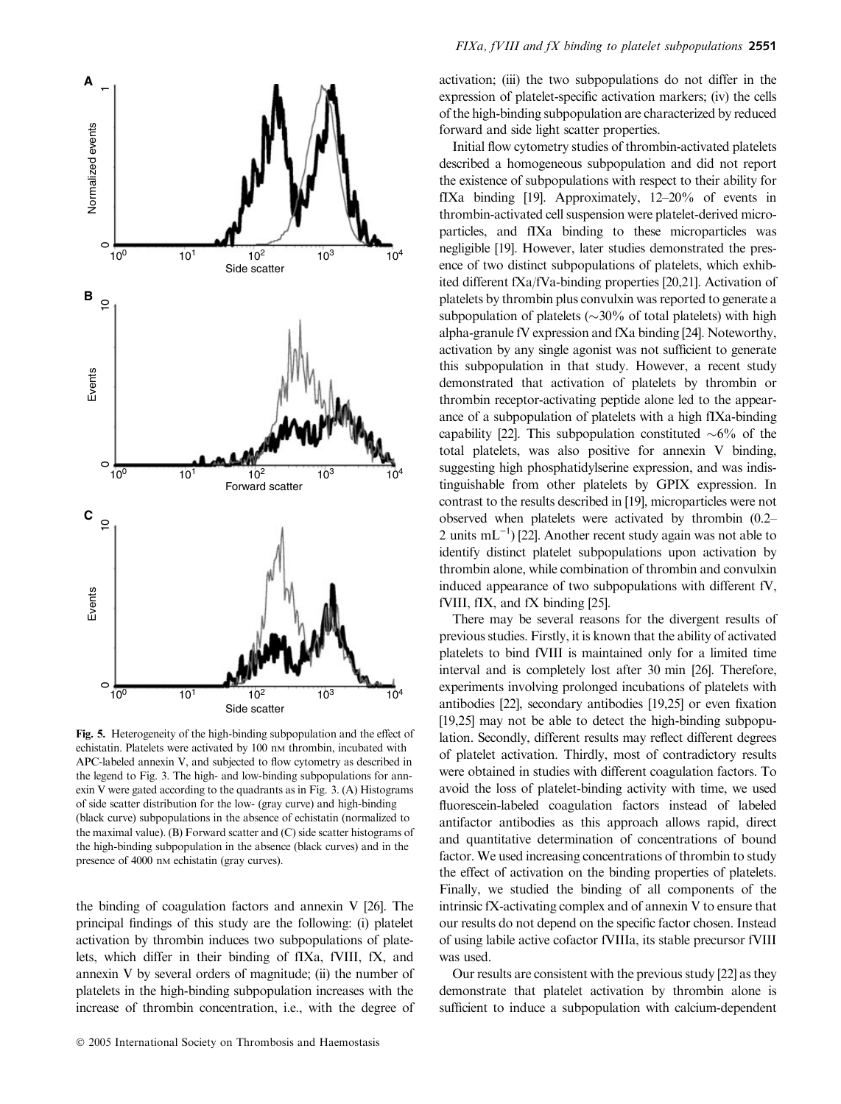

Fig. 5. Heterogeneity of the high-binding subpopulation and the effect of echistatin. Platelets were activated by 100 nm thrombin, incubated with APC-labeled annexin V, and subjected to flow cytometry as described in the legend to Fig. 3. The high- and low-binding subpopulations for annexin V were gated according to the quadrants as in Fig. 3. (A) Histograms of side scatter distribution for the low- (gray curve) and high-binding (black curve) subpopulations in the absence of echistatin (normalized to the maximal value). (B) Forward scatter and (C) side scatter histograms of the high-binding subpopulation in the absence (black curves) and in the presence of 4000 nm echistatin (gray curves).

the binding of coagulation factors and annexin V [26]. The principal findings of this study are the following: (i) platelet activation by thrombin induces two subpopulations of platelets, which differ in their binding of fIXa, fVIII, fX, and annexin V by several orders of magnitude; (ii) the number of platelets in the high-binding subpopulation increases with the increase of thrombin concentration, i.e., with the degree of

activation; (iii) the two subpopulations do not differ in the expression of platelet-specific activation markers; (iv) the cells of the high-binding subpopulation are characterized by reduced forward and side light scatter properties.

Initial flow cytometry studies of thrombin-activated platelets described a homogeneous subpopulation and did not report the existence of subpopulations with respect to their ability for fIXa binding [19]. Approximately, 12–20% of events in thrombin-activated cell suspension were platelet-derived microparticles, and fIXa binding to these microparticles was negligible [19]. However, later studies demonstrated the presence of two distinct subpopulations of platelets, which exhibited different fXa/fVa-binding properties [20,21]. Activation of platelets by thrombin plus convulxin was reported to generate a subpopulation of platelets ( $\sim$ 30% of total platelets) with high alpha-granule fV expression and fXa binding [24]. Noteworthy, activation by any single agonist was not sufficient to generate this subpopulation in that study. However, a recent study demonstrated that activation of platelets by thrombin or thrombin receptor-activating peptide alone led to the appearance of a subpopulation of platelets with a high fIXa-binding capability [22]. This subpopulation constituted  $\sim 6\%$  of the total platelets, was also positive for annexin V binding, suggesting high phosphatidylserine expression, and was indistinguishable from other platelets by GPIX expression. In contrast to the results described in [19], microparticles were not observed when platelets were activated by thrombin (0.2– 2 units  $mL^{-1}$  [22]. Another recent study again was not able to identify distinct platelet subpopulations upon activation by thrombin alone, while combination of thrombin and convulxin induced appearance of two subpopulations with different fV, fVIII, fIX, and fX binding [25].

There may be several reasons for the divergent results of previous studies. Firstly, it is known that the ability of activated platelets to bind fVIII is maintained only for a limited time interval and is completely lost after 30 min [26]. Therefore, experiments involving prolonged incubations of platelets with antibodies [22], secondary antibodies [19,25] or even fixation [19,25] may not be able to detect the high-binding subpopulation. Secondly, different results may reflect different degrees of platelet activation. Thirdly, most of contradictory results were obtained in studies with different coagulation factors. To avoid the loss of platelet-binding activity with time, we used fluorescein-labeled coagulation factors instead of labeled antifactor antibodies as this approach allows rapid, direct and quantitative determination of concentrations of bound factor. We used increasing concentrations of thrombin to study the effect of activation on the binding properties of platelets. Finally, we studied the binding of all components of the intrinsic fX-activating complex and of annexin V to ensure that our results do not depend on the specific factor chosen. Instead of using labile active cofactor fVIIIa, its stable precursor fVIII was used.

Our results are consistent with the previous study [22] as they demonstrate that platelet activation by thrombin alone is sufficient to induce a subpopulation with calcium-dependent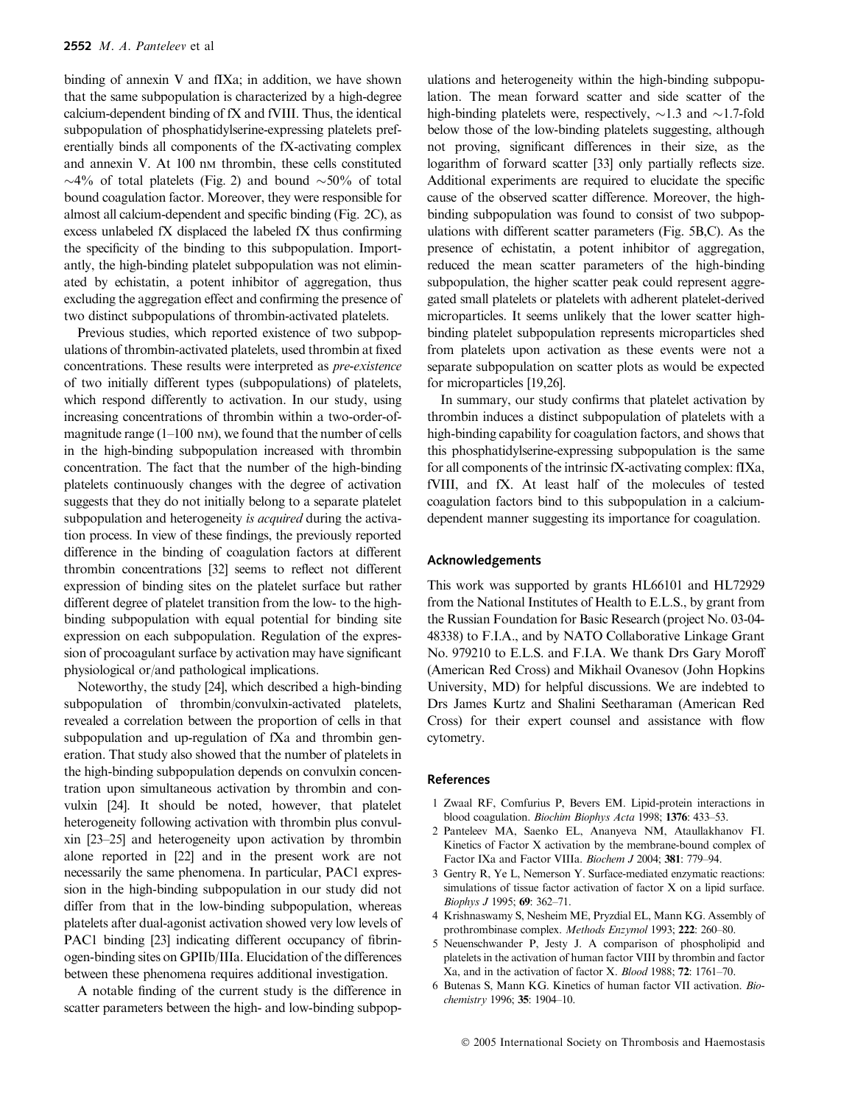binding of annexin V and fIXa; in addition, we have shown that the same subpopulation is characterized by a high-degree calcium-dependent binding of fX and fVIII. Thus, the identical subpopulation of phosphatidylserine-expressing platelets preferentially binds all components of the fX-activating complex and annexin V. At 100 nm thrombin, these cells constituted  $\sim$ 4% of total platelets (Fig. 2) and bound  $\sim$ 50% of total bound coagulation factor. Moreover, they were responsible for almost all calcium-dependent and specific binding (Fig. 2C), as excess unlabeled fX displaced the labeled fX thus confirming the specificity of the binding to this subpopulation. Importantly, the high-binding platelet subpopulation was not eliminated by echistatin, a potent inhibitor of aggregation, thus excluding the aggregation effect and confirming the presence of two distinct subpopulations of thrombin-activated platelets.

Previous studies, which reported existence of two subpopulations of thrombin-activated platelets, used thrombin at fixed concentrations. These results were interpreted as pre-existence of two initially different types (subpopulations) of platelets, which respond differently to activation. In our study, using increasing concentrations of thrombin within a two-order-ofmagnitude range  $(1-100 \text{ nm})$ , we found that the number of cells in the high-binding subpopulation increased with thrombin concentration. The fact that the number of the high-binding platelets continuously changes with the degree of activation suggests that they do not initially belong to a separate platelet subpopulation and heterogeneity is *acquired* during the activation process. In view of these findings, the previously reported difference in the binding of coagulation factors at different thrombin concentrations [32] seems to reflect not different expression of binding sites on the platelet surface but rather different degree of platelet transition from the low- to the highbinding subpopulation with equal potential for binding site expression on each subpopulation. Regulation of the expression of procoagulant surface by activation may have significant physiological or/and pathological implications.

Noteworthy, the study [24], which described a high-binding subpopulation of thrombin/convulxin-activated platelets, revealed a correlation between the proportion of cells in that subpopulation and up-regulation of fXa and thrombin generation. That study also showed that the number of platelets in the high-binding subpopulation depends on convulxin concentration upon simultaneous activation by thrombin and convulxin [24]. It should be noted, however, that platelet heterogeneity following activation with thrombin plus convulxin [23–25] and heterogeneity upon activation by thrombin alone reported in [22] and in the present work are not necessarily the same phenomena. In particular, PAC1 expression in the high-binding subpopulation in our study did not differ from that in the low-binding subpopulation, whereas platelets after dual-agonist activation showed very low levels of PAC1 binding [23] indicating different occupancy of fibrinogen-binding sites on GPIIb/IIIa. Elucidation of the differences between these phenomena requires additional investigation.

A notable finding of the current study is the difference in scatter parameters between the high- and low-binding subpop-

ulations and heterogeneity within the high-binding subpopulation. The mean forward scatter and side scatter of the high-binding platelets were, respectively,  $\sim$ 1.3 and  $\sim$ 1.7-fold below those of the low-binding platelets suggesting, although not proving, significant differences in their size, as the logarithm of forward scatter [33] only partially reflects size. Additional experiments are required to elucidate the specific cause of the observed scatter difference. Moreover, the highbinding subpopulation was found to consist of two subpopulations with different scatter parameters (Fig. 5B,C). As the presence of echistatin, a potent inhibitor of aggregation, reduced the mean scatter parameters of the high-binding subpopulation, the higher scatter peak could represent aggregated small platelets or platelets with adherent platelet-derived microparticles. It seems unlikely that the lower scatter highbinding platelet subpopulation represents microparticles shed from platelets upon activation as these events were not a separate subpopulation on scatter plots as would be expected for microparticles [19,26].

In summary, our study confirms that platelet activation by thrombin induces a distinct subpopulation of platelets with a high-binding capability for coagulation factors, and shows that this phosphatidylserine-expressing subpopulation is the same for all components of the intrinsic fX-activating complex: fIXa, fVIII, and fX. At least half of the molecules of tested coagulation factors bind to this subpopulation in a calciumdependent manner suggesting its importance for coagulation.

#### Acknowledgements

This work was supported by grants HL66101 and HL72929 from the National Institutes of Health to E.L.S., by grant from the Russian Foundation for Basic Research (project No. 03-04- 48338) to F.I.A., and by NATO Collaborative Linkage Grant No. 979210 to E.L.S. and F.I.A. We thank Drs Gary Moroff (American Red Cross) and Mikhail Ovanesov (John Hopkins University, MD) for helpful discussions. We are indebted to Drs James Kurtz and Shalini Seetharaman (American Red Cross) for their expert counsel and assistance with flow cytometry.

# References

- 1 Zwaal RF, Comfurius P, Bevers EM. Lipid-protein interactions in blood coagulation. Biochim Biophys Acta 1998; 1376: 433–53.
- 2 Panteleev MA, Saenko EL, Ananyeva NM, Ataullakhanov FI. Kinetics of Factor X activation by the membrane-bound complex of Factor IXa and Factor VIIIa. Biochem J 2004; 381: 779–94.
- 3 Gentry R, Ye L, Nemerson Y. Surface-mediated enzymatic reactions: simulations of tissue factor activation of factor X on a lipid surface. Biophys J 1995; 69: 362–71.
- 4 Krishnaswamy S, Nesheim ME, Pryzdial EL, Mann KG. Assembly of prothrombinase complex. Methods Enzymol 1993; 222: 260–80.
- 5 Neuenschwander P, Jesty J. A comparison of phospholipid and platelets in the activation of human factor VIII by thrombin and factor Xa, and in the activation of factor X. Blood 1988; 72: 1761–70.
- 6 Butenas S, Mann KG. Kinetics of human factor VII activation. Biochemistry 1996; 35: 1904–10.